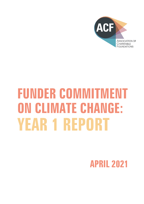

# **FUNDER COMMITMENT ON CLIMATE CHANGE: YEAR 1 REPORT**

**APRIL 2021**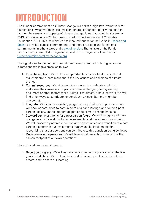## **INTRODUCTION**

The Funder Commitment on Climate Change is a holistic, high-level framework for foundations - whatever their size, mission, or area of benefit - to play their part in tackling the causes and impacts of climate change. It was launched in November 2019, and since June 2020 has been hosted by the Association of Charitable Foundation (ACF). This UK initiative has inspired foundation networks in [France and](https://dafne-online.eu/activities/climate-commitment/spain-and-france-launch-national-funders-commitments-on-climate-change/)  [Spain](https://dafne-online.eu/activities/climate-commitment/spain-and-france-launch-national-funders-commitments-on-climate-change/) to develop parallel commitments, and there are also plans for national commitments in other states and a [global version.](https://members.wingsweb.org/news/35153) The full text of the Funder Commitment, current list of signatories, and form to sign can all be found at [fundercommitmentclimatechange.org](https://fundercommitmentclimatechange.org/)

The signatories to the Funder Commitment have committed to taking action on climate change in five areas, as follows:

- 1. Educate and learn. We will make opportunities for our trustees, staff and stakeholders to learn more about the key causes and solutions of climate change.
- 2. Commit resources. We will commit resources to accelerate work that addresses the causes and impacts of climate change. (If our governing document or other factors make it difficult to directly fund such work, we will find other ways to contribute, or consider how such barriers might be overcome).
- 3. Integrate. Within all our existing programmes, priorities and processes, we will seek opportunities to contribute to a fair and lasting transition to a post carbon society, and to support adaptation to climate change impacts.
- 4. Steward our investments for a post carbon future. We will recognise climate change as a high-level risk to our investments, and therefore to our mission. We will proactively address the risks and opportunities of a transition to a post carbon economy in our investment strategy and its implementation, recognising that our decisions can contribute to this transition being achieved.
- 5. Decarbonise our operations. We will take ambitious action to minimise the carbon footprint of our own operations.

The sixth and final commitment is:

6. Report on progress. We will report annually on our progress against the five goals listed above. We will continue to develop our practice, to learn from others, and to share our learning.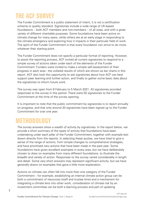## **THE ACF SURVEY**

The Funder Commitment is a public statement of intent; it is not a certification scheme or quality standard. Signatories include a wide range of UK-based foundations – both ACF members and non-members – of all sizes, and with a great variety of different charitable purposes. Some foundations have been active on climate change for many years, while others are at an early stage in responding to the climate emergency and exploring how it impacts in their particular field of work. The spirit of the Funder Commitment is that every foundation can strive to do more, whatever their starting point.

The Funder Commitment does not specify a particular format of reporting. However, to assist the reporting process, ACF invited all current signatories to respond to a simple survey of actions taken under each of the elements of the Funder Commitment. Funders were invited to make a simple self-assessment of their progress in each area - the collated results of which are shown as bar charts in this report. ACF also took this opportunity to ask signatories about how ACF can best support peer learning and further action, and finally to gather some basic data about the signatories to inform future work.

The survey was open from 8 February to 5 March 2021. 43 signatories provided responses to the survey in this period. There were 55 signatories to the Funder Commitment at the time of the survey opening.

It is important to note that the public commitment by signatories is to report annually on progress, and that only around 30 signatories have been signed up to the Funder Commitment for over one year.

## **METHODOLOGY**

The survey answers show a wealth of activity by signatories. In the report below, we provide a short summary of the types of activity that foundations have been undertaking under each pillar of the Funder Commitment, together with example text drawn directly from the reports. In selecting these quotes, we have tried to give a sense of the range of actions, from simple changes to comprehensive strategies, and have prioritised new actions that have been made in the past year. Some foundations have given excellent examples in every area, but we have deliberately chosen to draw on examples from many different foundations, to illustrate the breadth and variety of action. Responses to the survey varied considerably in length and detail. Some very short answers may represent significant activity, but we have generally drawn on examples that gave a little more explanation.

Actions on climate can often fall into more than one category of the Funder Commitment – for example, establishing an internal climate action group can be both a commitment of resources (staff and trustee time) and a mechanism for integrating a climate lens into other work; consideration of climate risk by an investment committee can be both a learning process and part of updating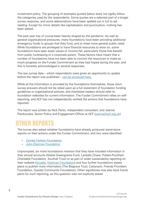investment policy. The grouping of examples quoted below does not rigidly follow the categories used by the respondents. Some quotes are a selected part of a longer survey response, and some abbreviations have been spelled out in full to aid reading. Except for minor details like capitalisation and punctuation, nothing has been edited.

The past year has of course been heavily shaped by the pandemic. As well as general organisational pressures, many foundations have been providing additional emergency funds to groups that they fund, and to meet more general public need. While foundations are privileged to have financial resources to draw on, some foundations have seen asset values or income fall, particularly those that benefit from public fundraising or a corporate parent. These factors have meant that a number of foundations have not been able to commit the resources or make as much progress on the Funder Commitment as they had hoped during the year, and this is honestly acknowledged in several responses.

The raw survey data – which respondents were given an opportunity to update before the report was published  $-$  [can be accessed here.](https://docs.google.com/spreadsheets/d/1jsywZJGkiKEf_WUqXCuvdiX99Xt1W4SMXbBmqcNC9zc/edit?usp=sharing)

While all the information is provided by the foundations themselves, these short survey answers should not be relied upon as a full statement of foundation funding guidelines or organisational policies, and interested readers should refer to foundation websites for current information. The Funder Commitment relies on selfreporting, and ACF has not independently verified the actions that foundations have reported.

The report was written by Nick Perks, independent consultant, and Joanna Pienkowska, Senior Policy and Engagement Officer at ACF [\(joanna@acf.org.uk\)](mailto:joanna@acf.org.uk?subject=Funder%20Commitment%20on%20Climage%20Change%20Year%201%20Report)

## **OTHER REPORTS**

The survey also asked whether foundations have already produced stand-alone reports on their actions under the Funder Commitment, and two were identified:

- ⸗ [Esmée Fairbain Foundation](https://esmeefairbairn.org.uk/about-esmee/climate-change/funder-commitment-climate-change-2020/)
- ⸗ [John Ellerman Foundation](https://ellerman.org.uk/uploads/201215-Funder-Commitment-on-Climate-Change-one-year-on.pdf)

Unprompted, six more foundations mention that they have included information in their annual accounts (Global Greengrants Fund, Lankelly Chase, Polden-Puckham Charitable Foundation, Southall Trust) or as part of wider sustainability reporting on their website [\(Arcadia,](https://www.arcadiafund.org.uk/articles/towards-a-greener-arcadia) [Kreitman Foundation\)](https://www.kreitmanfoundation.org.uk/blog) and four further foundations stated plans to publish more information (The Blagrave Trust, Cattanach, Friends Provident Foundation, Quartet Community Foundation). Other signatories may also have future plans for such reporting, as this question was not explicitly asked.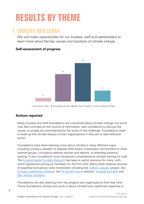## **RESULTS BY THEME**

### **1. EDUCATE AND LEARN**

*We will make opportunities for our trustees, staff and stakeholders to learn more about the key causes and solutions of climate change.* 

#### **Self-assessment of progress**



 $\blacksquare$  No Actions Taken  $\blacksquare$  Just getting started  $\blacksquare$  Made Some Progress  $\blacksquare$  At an Advanced Stage

#### **Actions reported**

Many trustees and staff foundations are concerned about climate change, but some may feel confused by the volume of information, lack confidence to discuss the issues, or simply be overwhelmed by the scale of the challenge. Foundations need to build up the climate literacy of their organisations if they are to take effective action.

Foundations have been learning more about climate in many different ways, including inviting a speaker to address their board, investment commitment or other internal groups, circulating relevant articles and reports, or attending external training. A few foundations have introduced comprehensive climate training for staff. The [Environmental Funders Network](https://www.greenfunders.org/) has been a useful resource for many, with some signatories joining as members for the first time. Many other external sources of expertise and advice were mentioned, including the [Carbon Literacy](https://carbonliteracy.com/) project, the [Climate Leadership Initiative,](https://climatelead.org/) the [Fit for the Future](https://fftf.org.uk/home) network, [Impatience Earth](https://www.impatience.earth/) and [Zero Waste Scotland.](https://www.zerowastescotland.org.uk/)

Foundations are also learning from the projects and organisations that they fund. Those foundations whose core work is about climate have significant expertise in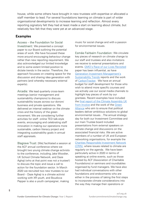house, while some others have brought in new trustees with expertise or allocated a staff member to lead. For several foundations learning on climate is part of wider organisational developments to increase learning and reflection. Almost every reporting signatory felt they had at least made a start on learning about climate, but relatively few felt that they were yet at an advanced stage.

#### **Examples**

Access – the Foundation for Social Investment: We presented a concept paper to our Board outlining the potential areas of work. We have focussed these more around encouraging behaviour change rather than new reporting requirement. We also acknowledged our limited knowledge and to some extent limited position to dictate trends in the sector. Therefore, the approach focusses on creating space for the discussion and sharing idea generation with partners (and whereby necessary external experts).

Arcadia: We lead quarterly cross-team meetings (senior management and sustainability champions) to discuss sustainability issues across our donors' business and private operations. We delivered an internal webinar on the climate crisis and the history of the green movement. We are considering further activities for staff: online TED talk-style events, encouraging and celebrating staff innovation in making our operations more sustainable, carbon literacy project and integrating sustainability goals in annual staff appraisals.

Blagrave Trust: [We] facilitated a session at the ACF annual conference where we brought two young climate change activists to the conference, including Jake Woodier, UK School Climate Network, and Daze Aghaji (who at that point was not a trustee!) to discuss the topic and issue a call to action for the foundation sector. In March 2020 we recruited two new trustees to our Board – Daze Aghaji is a climate activist working with XR youth, and Boudicca Pepper is also a youth campaigner, making

music for social change and with a passion for environmental issues.

Esmée Fairbairn Foundation: We circulate key pieces of research on climate change to our staff and trustees and also invitations we receive to external presentations and events. GMO's Race of [our Lives Revisited](https://www.gmo.com/europe/research-library/the-race-of-our-lives-revisited/) paper has been influential, as have [Generation Investment Management's](https://www.generationim.com/sustainability-trends/sustainability-trends-2020/)  [Sustainability Trends](https://www.generationim.com/sustainability-trends/sustainability-trends-2020/) reports and the work of [CarbonTracker.](https://carbontracker.org/) We have an annual budget for staff development for those who wish to attend more specific courses and we actively use our social media channels to highlight key pieces of work by our grantees. Recent examples have included the [final report of the Climate Assembly UK](https://www.involve.org.uk/sites/default/files/field/attachemnt/Climate%20Assembly%20UK%20Executive%20Summary_0.pdf)  [from Involve](https://www.involve.org.uk/sites/default/files/field/attachemnt/Climate%20Assembly%20UK%20Executive%20Summary_0.pdf) and the work of the [Green](https://green-alliance.org.uk/)  [Alliance](https://green-alliance.org.uk/) who aim to ensure that political leaders deliver ambitious solutions to global environmental issues…The annual strategy day for both our Investment Committee and our main Trustee board included presentations from external speakers on climate change and discussions on the associated financial risks. We are active members of a number of UK and European networking organisations, for example the [Charities Responsible Investment Network](https://shareaction.org/coalitions-and-networks/charities-responsible-investment-network/)  [\(CRIN\),](https://shareaction.org/coalitions-and-networks/charities-responsible-investment-network/) where issues related to climate are regularly on the agenda. We have been particularly active in 2020 in terms of speaking at online events, such as those hosted by ACF (Association of Charitable Foundations) or seminars and roundtables organised by fund managers. We have also had individual conversations with other foundations and endowments who are either in the process of taking the first steps to incorporate climate considerations into the way they manage their operations or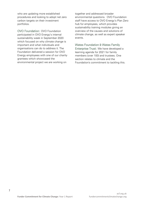who are updating more established procedures and looking to adopt net zero carbon targets on their investment portfolios.

OVO Foundation: OVO Foundation participated in OVO Energy's internal sustainability week in September 2020 which focused on why climate change is important and what individuals and organisations can do to address it. The Foundation delivered a session for OVO Energy employees with one of our charity grantees which showcased the environmental project we are working on

together and addressed broader environmental questions. OVO Foundation staff have access to OVO Energy's Plan Zero hub for employees, which provides sustainability training modules giving an overview of the causes and solutions of climate change, as well as expert speaker events.

Wates Foundation & Wates Family Enterprise Trust: We have developed a learning agenda for 2021 for family members (over 100) and trustees. One section relates to climate and the Foundation's commitment to tackling this.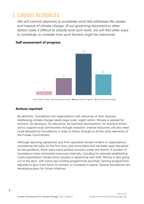### **2. COMMIT RESOURCES**

*We will commit resources to accelerate work that addresses the causes and impacts of climate change. (If our governing document or other factors make it difficult to directly fund such work, we will find other ways to contribute, or consider how such barriers might be overcome).*



#### **Self-assessment of progress**

#### **Actions reported**

By definition, foundations are organisations with resources at their disposal. Addressing climate change needs large scale, urgent action. Money is needed for activism, for advocacy, for education, for business development, for practical action, and to support local communities through transition. Internal resources will also need to be allocated by foundations in order to follow through on all the other elements of the Funder Commitment.

Although reporting signatories vary from specialist climate funders to organisations considering the topic for the first time, and some plans had inevitably been disrupted by the pandemic, there were many positive answers under this theme. A number of foundations have committed resources internally, including for example establishing cross-organisation climate action groups or appointing new staff. Money is also going out of the door, with some new funding programmes launched, existing programmes adjusted to give more focus on climate, or increases in spend. Several foundations are developing plans for future initiatives.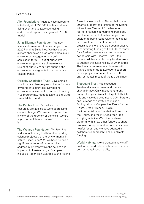#### **Examples**

Aim Foundation: Trustees have agreed to initial budget of £50,000 this financial year rising over time to £200,000, using endowment capital. First grant of £15,000 made!

John Ellerman Foundation: We now specifically mention climate change in our 2020 Funding Guidelines. We have added climate change as a programme area in our environment category on our online application form. 16 out of our 54 live environment grants are climate related. £1.5m of our £5.2m current spent in the environment category is towards climate related grants.

Oglesby Charitable Trust: Developing a small climate change grant scheme for nonenvironmental grantees. Developing environmental element to our new Funding Plus programme. Pledged £50k to Big Give's Green Match Fund.

The Pebble Trust: Virtually all our resources are applied to work addressing climate change. We have also agreed that, in view of the urgency of the crisis, we are happy to deplete our reserves to help tackle it.

The Wolfson Foundation: Wolfson has had a longstanding tradition of supporting science projects that are environmental in nature. Since June 2020 we have funded a significant number of projects which address in different ways the causes and impacts of climate change. Examples include £1.35 million awarded to the Marine Biological Association (Plymouth) in June 2020 to support the creation of the Marine Microbiome Centre of Excellence to facilitate research in marine microbiology and the impacts of climate change… In addition to being responsive to the capital infrastructure needs of individual organisations, we have also been proactive in committing funding of £360,000 to renew for a further three years a programme in partnership with Theatres Trust – the national advisory public body for theatres – to support the sustainability of UK theatres. The Theatre Improvement Scheme will award grants of up to £20,000 to support capital projects intended to reduce the environmental impact of theatre buildings.

Treebeard Trust: We exceeded Treebeard's environment and climate change Impact Only Investment (grant) budget this year. We set a target of 15% for this and have deployed nearly 20%. Partners span a range of activity and include Ecological Land Cooperative, Peers for the Planet, Green Alliance, NEON, Environmental Law Foundation, Forum for the Future, and the PFLA-led food label lobbying initiative. We joined a shared platform with a few other funders to share proposals or opportunities, which has been helpful for us, and we have adopted a collaborative approach to all our climate funding.

World Habitat: We've created a new staff post with a lead role in carbon reduction and environmental sustainability.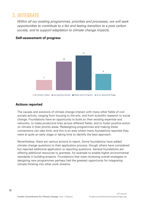### **3. INTEGRATE**

*Within all our existing programmes, priorities and processes, we will seek opportunities to contribute to a fair and lasting transition to a post carbon society, and to support adaptation to climate change impacts.*



#### **Self-assessment of progress**

#### ■ No Actions Taken ■ Just getting started ■ Made Some Progress ■ At an Advanced Stage

#### **Actions reported**

The causes and solutions of climate change interact with many other fields of civil society activity, ranging from housing to the arts, and from scientific research to social change. Foundations have an opportunity to build on their existing expertise and networks, to make productive links across different fields, and to foster positive action on climate in their priority areas. Redesigning programmes and making these connections can take time, and this is an area where many foundations reported they were at quite an early stage or taking time to identify the best approach.

Nevertheless, there are various actions to report. Some foundations have added climate change questions to their application process, though others have considered but rejected additional application or reporting questions. Several foundations are offering additional resources to grantees, for example to enable higher environmental standards in building projects. Foundations that were reviewing overall strategies or designing new programmes perhaps had the greatest opportunity for integrating climate thinking into other work streams.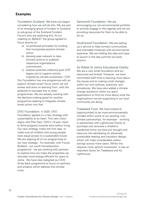#### **Examples**

Foundation Scotland: We have just begun considering how we will do this. We are part of an emerging group of funders in Scotland (a sub-group of the Scotland Funders Forum) who are exploring this. At our meeting on 26/02/21 the group agreed to focus activity on:

- a) co-produced principles for funding that incorporate positive climate action.
- b) develop peer network to take forward actions to underpin respective organisations commitment.
- c) explore potential collective post COP legacy pot to support activity inspired by climate awareness / COP.

Our Foundation has one programme with an explicit 'climate smart' focus which we will review and draw on learning from, with the potential to translate this to other programmes. We are already working with the decision-making panel for another programme seeking to integrate climate smart action into that.

OVO Foundation: In 2020, OVO

Foundation agreed on a new strategy with sustainability at its heart. This new vision aligns with Plan Zero, OVO's 10-year vision to drive progress towards zero-carbon living. Our new strategy marks the first step, to make sure all children and young people have equal access to a sustainable future. We are aligning all of our programmes to our new strategy. For example, with Future Builders - our youth homelessness programme - we are working with partners to explore how we make the properties we renovate more energy efficient for years to come. We have also realigned our OVO Gives Back programme to focus on partners and projects which address the climate crisis.

Samworth Foundation: We are encouraging our non-environmental portfolio to actively engage in this agenda and we are providing resources for them to be able to do so.

Southwood Foundation: We are setting up a service to help connect communities and charitable initiatives with environmental expertise. We are trialling the idea and hope to launch in the late summer [or] early autumn.

Sir Walter St John's Educational Charity:

We are a very small foundation and our resources are limited. However, we have committed staff time to learning more about the issues and to making small changes within our own policies, practices, and procedures. We have also added a climate change questions within our grant applications to find out more about what the organisations we are supporting in our local community are doing.

Treebeard Trust: We have looked at [opportunities] to be more environmentally minded within some of our existing, nonclimate partnerships, for example – working in partnership with Lighthouse Charity to purchase and renovate a children's residential home we have put thought and resource into developing an advanced, sustainable heating and insulation design, which will make considerable carbon savings across many years. Whilst this requires more upfront investment, it was an important factor for Treebeard and for Lighthouse.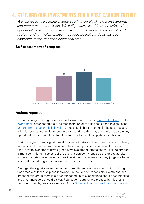## **4. STEWARD OUR INVESTMENTS FOR A POST CARBON FUTURE**

*We will recognise climate change as a high-level risk to our investments, and therefore to our mission. We will proactively address the risks and opportunities of a transition to a post carbon economy in our investment strategy and its implementation, recognising that our decisions can contribute to this transition being achieved.* 



#### **Self-assessment of progress**

#### **Actions reported**

Climate change is recognised as a risk to investments by the [Bank of England](https://www.bankofengland.co.uk/prudential-regulation/publication/2019/joint-statement-on-climate-change) and the [World Bank,](https://www.worldbank.org/en/topic/climatechange) amongst others. One manifestation of this risk has been the significant [underperformance and falls in value](https://carbontracker.org/reports/a-tale-of-two-share-issues/) of fossil fuel share offerings in the past decade. It is basic good stewardship to recognise and address this risk, and there are also many opportunities for foundations to take a more active leadership stance in this area.

During the year, many signatories discussed climate and investment, at a board level, in their investment committee, or with fund managers, in some cases for the first time. Several signatories have agreed new investment strategies that include stronger climate commitments as part of the overall approach. Alongside this or separately, some signatories have moved to new investment managers who they judge are better able to deliver strongly responsible investment approaches.

Amongst the signatories to the Funder Commitment are foundations with a strong track record of leadership and innovation in the field of responsible investment, and amongst this group there is a clear ratcheting up of expectations about good practice, and what managers should deliver. Foundation learning and practice in this area is being informed by resources such as ACF's [Stronger Foundations Investment report](https://www.acf.org.uk/policy-practice/stronger-foundations/investment/)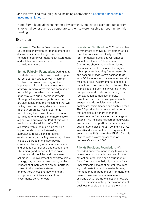and joint working through groups including ShareAction's Charitable Responsible [Investment Network.](https://shareaction.org/coalitions-and-networks/charities-responsible-investment-network/)

Note: Some foundations do not hold investments, but instead distribute funds from an external donor such as a corporate partner, so were not able to report under this heading.

#### **Examples**

Cattanach: We had a Board session on ESG factors in investment management and discussed climate change. It is now reflected in our Investment Policy Statement and will become an instruction to our portfolio managers.

Esmée Fairbairn Foundation: During 2020 we started work on how we would adopt a net zero carbon target on our investment portfolio, and we are working on the implications of that for our investment strategy. In many ways this has been about formalising work which was already underway with our investment advisors. Although a long-term target is important, we are also considering the milestones that will be key over the coming decade if we are to track our progress. We are currently transitioning the whole of our investment portfolio to one which is one more closely aligned with our mission. Part of this work has included the addition of a £25m allocation within the main fund for high impact funds with market-leading approaches to ESG considerations (environmental, social & governance). These include a European manager buying companies focusing on resource efficiency and pollution control and one based in the US finding good opportunities in solar power, electric vehicles and clean water solutions. Our investment committee held a strategy day in the summer looking at the impacts of climate change on our portfolio. Linked to this, we have started to do work on biodiversity loss and how we might incorporate that into analysis of our investments going forward.

Foundation Scotland: In 2020, with a clear commitment to move our investments to a fund that focussed positively on ESG (Environmental, Social and Governance) impact, our Finance & Investment Committee shortlisted and interviewed seven investment managers. Through a robust process involving further research and second interviews we decided to go with EQ Investors and have now moved the majority of our investments to a bespoke Impact portfolio created by EQ for us…This is an all equities portfolio investing in 400 companies worldwide and avoiding fossil fuel extraction companies entirely. Investments are in for example renewable energy, electric vehicles, education, healthcare, micro-finance and enabling tech. The EQ product includes an online portal that enables our donors to monitor investment performance across a range of criteria. This includes net carbon equivalent emissions. …The portfolio is benchmarked against two indices (FTSE 100 and MSCI AC World) and shows net carbon equivalent emissions at 70% lower than FTSE 100. It is aligned with a warming scenario of 1.5 degrees Celsius by 2060.

Friends Provident Foundation: We extended our investment policy to exclude investment in companies involved in: the extraction, production and distribution of fossil fuels, and similarly high carbon fuels; unsustainable harvest of natural resources, e.g. deforestation; and intensive farming methods that degrade the environment, e.g. palm oil. We used our influence as a shareholder to 'promote a just and net-zero carbon transition, calling for the adoption of business models that are consistent with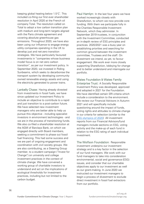keeping global heating below 1.5°C'. This included co-filing our first ever shareholder resolution in April 2020 at the French oil company Total. The resolution called on Total to adopt a low carbon transition plan with medium and long-term targets aligned with the Paris climate agreement and covering absolute greenhouse gas emissions. Throughout 2020, we have also been using our influence to engage energy utility companies operating in the UK to develop just and net-zero transition strategies. We have particularly favoured investments in "companies whose business model focus is on net zero carbon transition", as per our investment policy. In September 2020, we invested in Riding Sunbeams, which seeks to decarbonise the transport system by developing community owned renewable energy assets and using the electricity generated to power trains.

Lankelly Chase: Having already divested from investments in fossil fuels, we have since updated our Investment Policy to include an objective to contribute to a rapid and just transition to a post-carbon future. We have selected new investment managers who are better able to help us pursue this objective - including specialist investors in environment technologies - and we are in the process of transitioning funds. We also co-filed a shareholder resolution at the AGM of Barclays Bank, on which we engaged directly with Board members, seeking a commitment to phase out fossil fuel financing. This had some success and we are part of ongoing engagement and coordination with civil society groups. We are also contributing, as a Steering Group member, to a student campaign ("Invest for Change") on university and college investment practices in the context of climate change. We have convened a working group of charitable investors to understand and act on the implications of ecological thresholds for investment practices, including but not limited to the carbon budget.

Paul Hamlyn: In the last four years we have worked increasingly closely with ShareAction, to whom we now provide core funding. With them we participate fully in the Charities Responsible Investment Network, which they administer. In September 2019 trustees, in conjunction with the Investment Committee, conducted an in-depth review of ESG principles and practices. 2020/2021 was a busy year on establishing priorities and searching for common ground between the investment committee, Trustees and the staff. On divestment we intend, as yet, to favour engagement. We work ever more closely supporting ShareAction, lobbying for change and to better understand and interrogate our portfolio.

Wates Foundation & Wates Family Enterprise Trust: A Socially Responsible Investment Policy was developed, approved and adopted in 2021 for the Foundation. We have identified certain SRI criteria which include a consideration to the environment. We review our Financial Advisors in Autumn 2021 and will specifically include questioning around the impact of funds, voting rights and attitudes to climate change in our criteria for selection (similar to the [ESG olympics of 2020\)](https://www.friendsprovidentfoundation.org/investment/esg-investing-olympics/) All investment reports from our Financial Advisors/fund managers include sections on ESG, voting activity and the make-up of each fund in relation to the ESG rating of each individual investment.

The Wolfson Foundation: Responsible investment underpins our investment strategy and is a key factor in the selection of our fund managers. We work with our fund managers to take into consideration environmental, social and governance (ESG) issues, and consider that our charitable objectives apply to our investment as well as our grant-making. In June 2020 we instructed our investment managers to begin a process of divestment to exclude direct investment in fossil fuel extractors from our portfolio.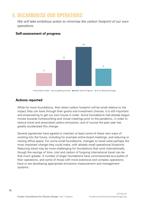## **5. DECARBONISE OUR OPERATIONS**

*We will take ambitious action to minimise the carbon footprint of our own operations.*



#### **Self-assessment of progress**

#### **Actions reported**

While for most foundations, their direct carbon footprint will be small relative to the impact they can have through their grants and investment choices, it is still important and empowering to get our own house in order. Some foundations had already begun moves towards homeworking and virtual meetings prior to the pandemic, in order to reduce travel and associated carbon emissions, and of course the past year has greatly accelerated this change.

Several signatories have agreed to maintain at least some of these new ways of working into the future, including for example online board meetings, and reducing or closing office space. For some small foundations, changes to travel were perhaps the most important change they could make, with already small operational footprints. Reducing travel may be more challenging for foundations that work internationally, though the savings of time, cost and carbon of forgoing international travel can be that much greater. A number of larger foundations have commissioned eco-audits of their operations, and some of those with more extensive and complex operations have or are developing appropriate emissions measurement and management systems.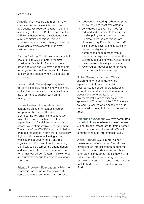#### **Examples**

Arcadia: We measure and report on the carbon emissions associated with our operations. We report on scope 1, 2 and 3 according to the GHG Protocol and use the DEFRA guidance for our calculations. We aim to minimize emissions, through procurement and travel policies, and 'offset' unavoidable emissions with Plan Vivocertified projects.

Barrow Cadbury Trust: We have had a full eco audit (literally just before the first lockdown). Much of it focusses on our office operation and we have not been able to progress this much remotely. It will rise quickly up the agenda when we get back to our office!

Comic Relief: [We are] exploring what travel will look like, recognising we can rely on local assessors / shortlisters / evaluators etc a lot more to support with grant management.

Esmée Fairbairn Foundation: We completed an audit of Esmée's carbon footprint at the start of the year and identified the key drivers and actions we might take. Some, such as a switch to vegetarian food for all internal events at our offices, were straightforward to implement. The arrival of the COVID-19 pandemic led to dramatic reductions in staff travel, especially flights, and we are now looking at the implications of becoming a flight-free organisation. The move to online meetings is unlikely to be a temporary phenomenon and, even when the current situation returns to normal, our carbon footprint is likely to be structurally lower due to changed working practices.

Friends Provident Foundation: Whilst the pandemic has disrupted the delivery of some operational commitments, we have:

- reduced our catering carbon footprint by switching to meat-free catering
- considered positive incentives for reduced and sustainable travel in staff holiday policy and signed up to the 'Climate Perks' commitment from climate charity Possible to offer staff paid 'journey days' to encourage lowcarbon holiday travel
- commenced engagement with our property manager and supported them to introduce building-wide recycling and basic energy efficiency measures
- reviewed our travel policy to privilege public and sustainable transport

Global Greengrants Fund: We are exploring how to be a more virtual organisation in future to maintain decarbonisation of our operations; as an international funder, this will require further discussions. An organisational environmental sustainability policy was approved by Trustees in May 2020. We are housed in a shared office space, which is committed to being fully carbon neutral by 2023.

Solberga Foundation: We have committed that within Europe, where it is feasible, we will not fly and instead opt for train or other public transportation for travel . We will continue to reduce international travel.

World Habitat: We've improved our measurement of our carbon footprint and introduced an internal carbon budget for each team. Our carbon emissions have fallen significantly since 1st lockdown with reduced travel and commuting. We are reviewing our policies to ensure we don't go back to bad old ways as restrictions are lifted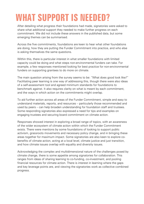## **WHAT SUPPORT IS NEEDED?**

After detailing what progress their foundations had made, signatories were asked to share what additional support they needed to make further progress on each commitment. We did not include these answers in the published data, but some emerging themes can be summarised.

Across the five commitments, foundations are keen to hear what other foundations are doing, how they are putting the Funder Commitment into practice, and who else is asking themselves the same questions.

Within this, there is particular interest in what smaller foundations with limited capacity could be doing and what steps non-environmental funders can take. For example, a few responses mentioned looking for best practice for non-environmental funders on supporting grantees to do more on climate.

The main question arising from the survey seems to be: "What does good look like?" Facilitating peer learning is one way of addressing this, though there were also ideas of a self-assessment tool and agreed minimum standards for foundations to benchmark against. It also requires clarity on what is meant by each commitment, and the ways in which action on the commitments might overlap.

To aid further action across all areas of the Funder Commitment, simple and easy to understand materials, reports, and resources – particularly those recommended and used by peers – can help broaden understanding for foundation staff and trustees. Some responding signatories also expressed a need for tips and examples on engaging trustees and securing board commitment on climate action.

Responses showed interest in exploring a broad range of topics, with an awareness of the wider ecosystem of climate action within which the Funder Commitment exists. There were mentions by some foundations of looking to support public activism, grassroots movements and necessary policy change, and in bringing these areas together for maximum impact. Some signatories are also keen to explore cobenefits of climate action, acting at a local level, climate justice and just transition, and how climate issues overlap with equality and diversity issues.

Acknowledging the complex and multidimensional nature of the challenges posed by climate change, there is some appetite among signatories for collaboration. This ranges from ideas of sharing learning to co-funding, co-investment, and pooling financial resources for climate action. There is interest in learning where the gaps and key leverage points are, and viewing the signatories work as collective combined progress.